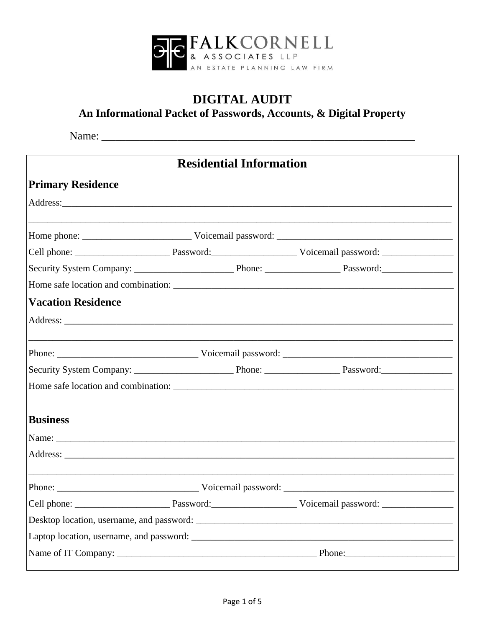

## **DIGITAL AUDIT**

An Informational Packet of Passwords, Accounts, & Digital Property

| <b>Residential Information</b> |  |                                                                  |                                                                                   |
|--------------------------------|--|------------------------------------------------------------------|-----------------------------------------------------------------------------------|
| <b>Primary Residence</b>       |  |                                                                  |                                                                                   |
|                                |  |                                                                  |                                                                                   |
|                                |  |                                                                  | ,我们也不能在这里的时候,我们也不能在这里的时候,我们也不能会在这里的时候,我们也不能会在这里的时候,我们也不能会在这里的时候,我们也不能会在这里的时候,我们也不 |
|                                |  |                                                                  |                                                                                   |
|                                |  |                                                                  |                                                                                   |
|                                |  |                                                                  |                                                                                   |
| <b>Vacation Residence</b>      |  |                                                                  |                                                                                   |
|                                |  |                                                                  |                                                                                   |
|                                |  | <u> 1980 - Andrea Stadt Britain, amerikansk politik (* 1908)</u> |                                                                                   |
|                                |  |                                                                  |                                                                                   |
|                                |  |                                                                  |                                                                                   |
| <b>Business</b>                |  |                                                                  |                                                                                   |
|                                |  |                                                                  |                                                                                   |
|                                |  |                                                                  |                                                                                   |
|                                |  |                                                                  |                                                                                   |
| Cell phone:                    |  |                                                                  | Password: Voicemail password: Password: Password:                                 |
|                                |  |                                                                  |                                                                                   |
|                                |  |                                                                  |                                                                                   |
|                                |  |                                                                  |                                                                                   |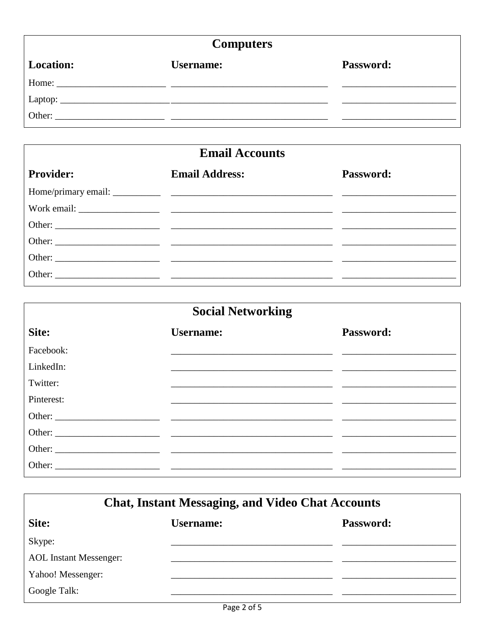## **Computers**

| $\sim$ $\sim$ $\sim$ $\sim$ $\sim$ $\sim$ $\sim$ |                  |                  |  |
|--------------------------------------------------|------------------|------------------|--|
| <b>Location:</b>                                 | <b>Username:</b> | <b>Password:</b> |  |
|                                                  |                  |                  |  |
|                                                  |                  |                  |  |
|                                                  |                  |                  |  |

| <b>Email Accounts</b> |                       |                  |  |
|-----------------------|-----------------------|------------------|--|
| <b>Provider:</b>      | <b>Email Address:</b> | <b>Password:</b> |  |
|                       |                       |                  |  |
|                       |                       |                  |  |
|                       |                       |                  |  |
|                       |                       |                  |  |
|                       |                       |                  |  |
|                       |                       |                  |  |
|                       |                       |                  |  |

| <b>Social Networking</b> |                                                                                                                      |           |  |
|--------------------------|----------------------------------------------------------------------------------------------------------------------|-----------|--|
| Site:                    | <b>Username:</b>                                                                                                     | Password: |  |
| Facebook:                |                                                                                                                      |           |  |
| LinkedIn:                |                                                                                                                      |           |  |
| Twitter:                 |                                                                                                                      |           |  |
| Pinterest:               | <u> 1980 - Jan Samuel Barbara, martin da shekara 1980 - Andrea Samuel Barbara, mashrida a tsara 1980 - Andrea Sa</u> |           |  |
|                          | Other:                                                                                                               |           |  |
|                          |                                                                                                                      |           |  |
|                          |                                                                                                                      |           |  |
|                          |                                                                                                                      |           |  |

| <b>Chat, Instant Messaging, and Video Chat Accounts</b> |                  |           |  |
|---------------------------------------------------------|------------------|-----------|--|
| Site:                                                   | <b>Username:</b> | Password: |  |
| Skype:                                                  |                  |           |  |
| <b>AOL</b> Instant Messenger:                           |                  |           |  |
| Yahoo! Messenger:                                       |                  |           |  |
| Google Talk:                                            |                  |           |  |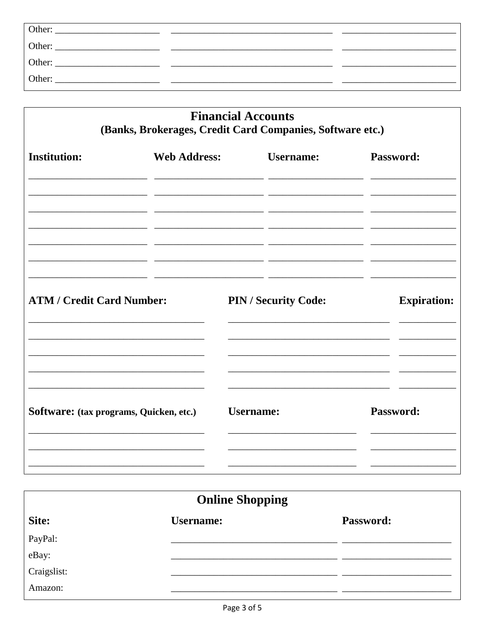| Other: |  |
|--------|--|
| Other: |  |
| Other: |  |
| Other: |  |

| <b>Financial Accounts</b><br>(Banks, Brokerages, Credit Card Companies, Software etc.) |                     |                             |                    |  |
|----------------------------------------------------------------------------------------|---------------------|-----------------------------|--------------------|--|
| <b>Institution:</b>                                                                    | <b>Web Address:</b> | <b>Username:</b>            | Password:          |  |
| <b>ATM / Credit Card Number:</b>                                                       |                     | <b>PIN / Security Code:</b> | <b>Expiration:</b> |  |
| Software: (tax programs, Quicken, etc.)                                                |                     | <b>Username:</b>            | Password:          |  |

| <b>Online Shopping</b> |                  |           |  |
|------------------------|------------------|-----------|--|
| Site:                  | <b>Username:</b> | Password: |  |
| PayPal:                |                  |           |  |
| eBay:                  |                  |           |  |
| Craigslist:            |                  |           |  |
| Amazon:                |                  |           |  |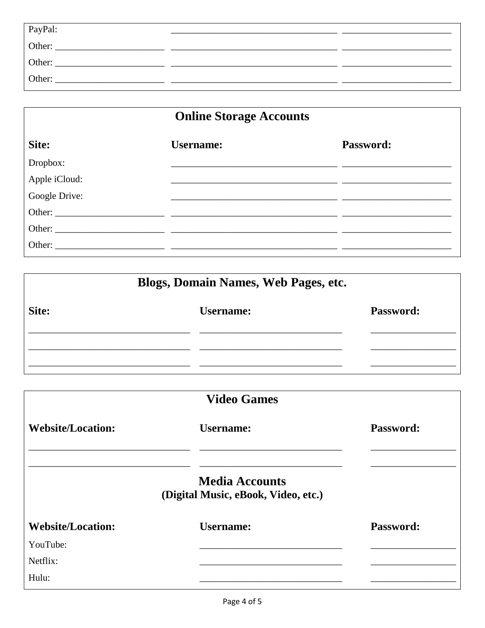| PayPal: |  |
|---------|--|
| Other:  |  |
| Other:  |  |
| Other:  |  |

| <b>Online Storage Accounts</b> |                  |           |
|--------------------------------|------------------|-----------|
| Site:                          | <b>Username:</b> | Password: |
| Dropbox:                       |                  |           |
| Apple iCloud:                  |                  |           |
| Google Drive:                  |                  |           |
|                                |                  |           |
|                                |                  |           |
|                                |                  |           |

| Blogs, Domain Names, Web Pages, etc. |                  |                  |  |  |
|--------------------------------------|------------------|------------------|--|--|
| Site:                                | <b>Username:</b> | <b>Password:</b> |  |  |
|                                      |                  |                  |  |  |
|                                      |                  |                  |  |  |

| <b>Video Games</b>                                           |           |  |  |
|--------------------------------------------------------------|-----------|--|--|
| <b>Username:</b>                                             | Password: |  |  |
| <b>Media Accounts</b><br>(Digital Music, eBook, Video, etc.) |           |  |  |
| <b>Username:</b>                                             | Password: |  |  |
|                                                              |           |  |  |
|                                                              |           |  |  |
|                                                              |           |  |  |
|                                                              |           |  |  |